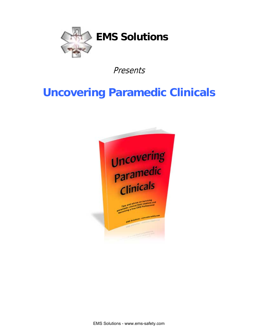

Presents

# **Uncovering Paramedic Clinicals**



EMS Solutions - www.ems-safety.com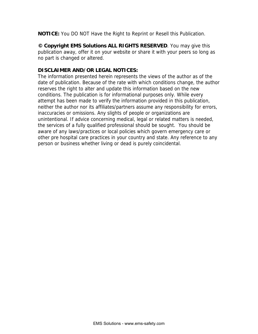**NOTICE:** You DO NOT Have the Right to Reprint or Resell this Publication.

**© Copyright EMS Solutions ALL RIGHTS RESERVED**. You may give this publication away, offer it on your website or share it with your peers so long as no part is changed or altered.

## **DISCLAIMER AND/OR LEGAL NOTICES:**

The information presented herein represents the views of the author as of the date of publication. Because of the rate with which conditions change, the author reserves the right to alter and update this information based on the new conditions. The publication is for informational purposes only. While every attempt has been made to verify the information provided in this publication, neither the author nor its affiliates/partners assume any responsibility for errors, inaccuracies or omissions. Any slights of people or organizations are unintentional. If advice concerning medical, legal or related matters is needed, the services of a fully qualified professional should be sought. You should be aware of any laws/practices or local policies which govern emergency care or other pre hospital care practices in your country and state. Any reference to any person or business whether living or dead is purely coincidental.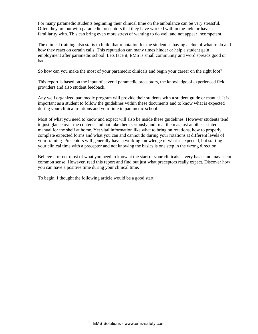For many paramedic students beginning their clinical time on the ambulance can be very stressful. Often they are put with paramedic preceptors that they have worked with in the field or have a familiarity with. This can bring even more stress of wanting to do well and not appear incompetent.

The clinical training also starts to build that reputation for the student as having a clue of what to do and how they react on certain calls. This reputation can many times hinder or help a student gain employment after paramedic school. Lets face it, EMS is small community and word spreads good or bad.

So how can you make the most of your paramedic clinicals and begin your career on the right foot?

This report is based on the input of several paramedic preceptors, the knowledge of experienced field providers and also student feedback.

Any well organized paramedic program will provide their students with a student guide or manual. It is important as a student to follow the guidelines within these documents and to know what is expected during your clinical rotations and your time in paramedic school.

Most of what you need to know and expect will also be inside these guidelines. However students tend to just glance over the contents and not take them seriously and treat them as just another printed manual for the shelf at home. Yet vital information like what to bring on rotations, how to properly complete expected forms and what you can and cannot do during your rotations at different levels of your training. Preceptors will generally have a working knowledge of what is expected, but starting your clinical time with a preceptor and not knowing the basics is one step in the wrong direction.

Believe it or not most of what you need to know at the start of your clinicals is very basic and may seem common sense. However, read this report and find out just what preceptors really expect. Discover how you can have a positive time during your clinical time.

To begin, I thought the following article would be a good start.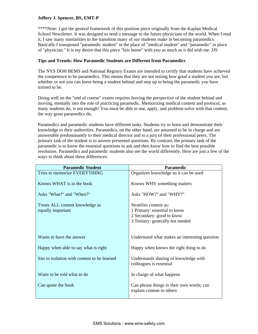## **Jeffery J. Spencer, BS, EMT-P**

\*\*\*\*Note: I got the general framework of this position piece originally from the Kaplan Medical School Newsletter. It was designed to send a message to the future physicians of the world. When I read it, I saw many similarities to the transition many of our students make in becoming paramedics. Basically I transposed "paramedic student" in the place of "medical student" and "paramedic" in place of "physician." It is my desire that this piece "hits home" with you as much as it did with me. JJS

## **Tips and Trends: How Paramedic Students are Different from Paramedics**

The NYS DOH BEMS and National Registry Exams are intended to certify that students have achieved the competence to be paramedics. This means that they are not testing how good a student you are, but whether or not you can leave being a student behind and step up to being the paramedic you have trained to be.

Doing well on the "end of course" exams requires leaving the perspective of the student behind and moving, mentally into the role of practicing paramedic. Memorizing medical content and protocol, as many students do, is not enough! You must be able to use, apply, and problem-solve with that content, the way great paramedics do.

Paramedics and paramedic students have different tasks. Students try to learn and demonstrate their knowledge to their authorities. Paramedics, on the other hand, are assumed to be in charge and are answerable predominantly to their medical director and to a jury of their professional peers. The primary task of the student is to answer presented questions. By contrast, the primary task of the paramedic is to know the essential questions to ask and then know how to find the best possible resolution. Paramedics and paramedic students also see the world differently. Here are just a few of the ways to think about these differences:

| <b>Paramedic Student</b>                     | <b>Paramedic</b>                                                       |
|----------------------------------------------|------------------------------------------------------------------------|
| Tries to memorize EVERYTHING                 | Organizes knowledge so it can be used                                  |
| Knows WHAT is in the book                    | Knows WHY something matters                                            |
| Asks "What?" and "When?"                     | Asks "HOW?" and "WHY?"                                                 |
| Treats ALL content knowledge as              | Stratifies content as:                                                 |
| equally important                            | 1 Primary: essential to know                                           |
|                                              | 2 Secondary: good to know                                              |
|                                              | 3 Tertiary: generally not needed                                       |
| Wants to have the answer                     | Understand what makes an interesting question                          |
| Happy when able to say what is right         | Happy when knows the right thing to do                                 |
| Sits in isolation with content to be learned | Understands sharing of knowledge with<br>colleagues is essential       |
| Waits to be told what to do                  | In charge of what happens                                              |
| Can quote the book                           | Can phrase things in their own words; can<br>explain content to others |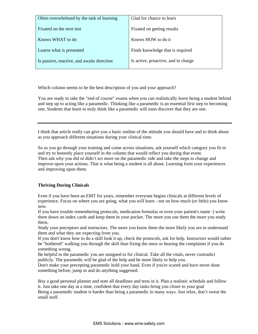| Often overwhelmed by the task of learning  | Glad for chance to learn            |
|--------------------------------------------|-------------------------------------|
| Fixated on the next test                   | Fixated on getting results          |
| Knows WHAT to do                           | Knows HOW to do it                  |
| Learns what is presented                   | Finds knowledge that is required    |
| Is passive, reactive, and awaits direction | Is active, proactive, and in charge |

Which column seems to be the best description of you and your approach?

You are ready to take the "end of course" exams when you can realistically leave being a student behind and step up to acting like a paramedic. Thinking like a paramedic is an essential first step to becoming one. Students that learn to truly think like a paramedic will soon discover that they are one.

I think that article really can give you a basic outline of the attitude you should have and to think about as you approach different situations during your clinical time.

So as you go through your training and come across situations, ask yourself which category you fit in and try to honestly place yourself in the column that would reflect you during that event. Then ask why you did or didn't act more on the paramedic side and take the steps to change and improve upon your actions. That is what being a student is all about. Learning from your experiences and improving upon them.

## **Thriving During Clinicals**

Even if you have been an EMT for years, remember everyone begins clinicals at different levels of experience. Focus on where you are going, what you will learn - not on how much (or little) you know now.

If you have trouble remembering protocols, medication formulas or even your patient's name :) write them down on index cards and keep them in your pocket. The more you use them the more you study them.

Study your preceptors and instructors. The more you know them the more likely you are to understand them and what they are expecting from you.

If you don't know how to do a skill look it up, check the protocols, ask for help. Instructors would rather be "bothered" walking you through the skill than fixing the mess or hearing the complaints if you do something wrong.

Be helpful to the paramedic you are assigned to for clinical. Take all the vitals, never contradict publicly. The paramedic will be glad of the help and be more likely to help you.

Don't make your precepting paramedic hold your hand. Even if you're scared and have never done something before, jump in and do anything suggested.

Buy a good personal planner and note all deadlines and tests in it. Plan a realistic schedule and follow it. Just take one day at a time, confident that every day tasks bring you closer to your goal Being a paramedic student is harder than being a paramedic in many ways. Just relax, don't sweat the small stuff.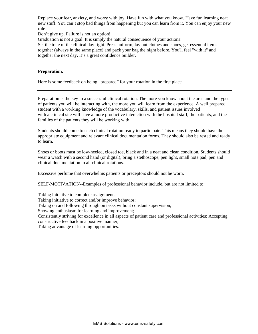Replace your fear, anxiety, and worry with joy. Have fun with what you know. Have fun learning neat new stuff. You can't stop bad things from happening but you can learn from it. You can enjoy your new role.

Don't give up. Failure is not an option!

Graduation is not a goal. It is simply the natural consequence of your actions!

Set the tone of the clinical day right. Press uniform, lay out clothes and shoes, get essential items together (always in the same place) and pack your bag the night before. You'll feel "with it" and together the next day. It's a great confidence builder.

## **Preparation.**

Here is some feedback on being "prepared" for your rotation in the first place.

Preparation is the key to a successful clinical rotation. The more you know about the area and the types of patients you will be interacting with, the more you will learn from the experience. A well prepared student with a working knowledge of the vocabulary, skills, and patient issues involved with a clinical site will have a more productive interaction with the hospital staff, the patients, and the families of the patients they will be working with.

Students should come to each clinical rotation ready to participate. This means they should have the appropriate equipment and relevant clinical documentation forms. They should also be rested and ready to learn.

Shoes or boots must be low-heeled, closed toe, black and in a neat and clean condition. Students should wear a watch with a second hand (or digital), bring a stethoscope, pen light, small note pad, pen and clinical documentation to all clinical rotations.

Excessive perfume that overwhelms patients or preceptors should not be worn.

SELF-MOTIVATION--Examples of professional behavior include, but are not limited to:

Taking initiative to complete assignments; Taking initiative to correct and/or improve behavior; Taking on and following through on tasks without constant supervision; Showing enthusiasm for learning and improvement; Consistently striving for excellence in all aspects of patient care and professional activities; Accepting constructive feedback in a positive manner; Taking advantage of learning opportunities.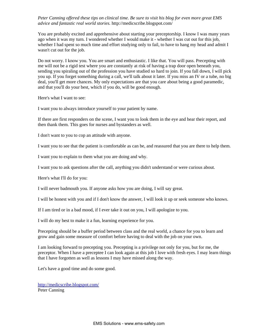## *Peter Canning offered these tips on clinical time. Be sure to visit his blog for even more great EMS advice and fantastic real world stories.* <http://medicscribe.blogspot.com/>

You are probably excited and apprehensive about starting your preceptorship. I know I was many years ago when it was my turn. I wondered whether I would make it - whether I was cut out for this job, whether I had spent so much time and effort studying only to fail, to have to hang my head and admit I wasn't cut out for the job.

Do not worry. I know you. You are smart and enthusiastic. I like that. You will pass. Precepting with me will not be a rigid test where you are constantly at risk of having a trap door open beneath you, sending you spiraling out of the profession you have studied so hard to join. If you fall down, I will pick you up. If you forget something during a call, we'll talk about it later. If you miss an IV or a tube, no big deal, you'll get more chances. My only expectations are that you care about being a good paramedic, and that you'll do your best, which if you do, will be good enough.

Here's what I want to see:

I want you to always introduce yourself to your patient by name.

If there are first responders on the scene, I want you to look them in the eye and hear their report, and then thank them. This goes for nurses and bystanders as well.

I don't want to you to cop an attitude with anyone.

I want you to see that the patient is comfortable as can be, and reassured that you are there to help them.

I want you to explain to them what you are doing and why.

I want you to ask questions after the call, anything you didn't understand or were curious about.

Here's what I'll do for you:

I will never badmouth you. If anyone asks how you are doing, I will say great.

I will be honest with you and if I don't know the answer, I will look it up or seek someone who knows.

If I am tired or in a bad mood, if I ever take it out on you, I will apologize to you.

I will do my best to make it a fun, learning experience for you.

Precepting should be a buffer period between class and the real world, a chance for you to learn and grow and gain some measure of comfort before having to deal with the job on your own.

I am looking forward to precepting you. Precepting is a privilege not only for you, but for me, the preceptor. When I have a preceptee I can look again at this job I love with fresh eyes. I may learn things that I have forgotten as well as lessons I may have missed along the way.

Let's have a good time and do some good.

<http://medicscribe.blogspot.com/> Peter Canning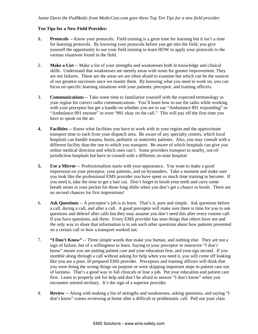## **Ten Tips for a New Field Provider:**

- **1. Protocols** -- Know your protocols. Field training is a great time for learning but it isn't a time for learning protocols. By knowing your protocols before you get into the field, you give yourself the opportunity to use your field training to learn HOW to apply your protocols to the various situations found in the field.
- 2. **Make a List** -- Make a list of your strengths and weaknesses both in knowledge and clinical skills. Understand that weaknesses are merely areas with room for greater improvement. They are not failures. These are the areas we are often afraid to examine but which can be the sources of our greatest successes once we master them. By knowing what you need to work on, you can focus on specific learning situations with your patients, preceptor, and training officers.
- 3. **Communications** -- Take some time to familiarize yourself with the expected terminology in your region for correct radio communications. You'll learn how to use the radio while working with your preceptor but get a handle on whether you are to say "Ambulance 891 responding" or "Ambulance 891 enroute" or even "891 okay on the call." This will pay off the first time you have to speak on the air.
- **4. Facilities** -- Know what facilities you have to work with in your region and the approximate transport time to each from your dispatch area. Be aware of any specialty centers, which local hospitals can handle trauma, burns, pediatric or maternity patients. Also, you may consult with a different facility than the one to which you transport. Be aware of which hospitals can give you online medical direction and which ones can't. Some providers transport to nearby, out-ofjurisdiction hospitals but have to consult with a different, in-state hospital.
- **5. Use a Mirror** -- Professionalism starts with your appearance. You want to make a good impression on your preceptor, your patients, and on bystanders. Take a moment and make sure you look like the professional EMS provider you have spent so much time training to become. If you need it, take the time to get a hair cut. Don't forget to brush your teeth and carry some breath mints in your pocket for those long shifts when you don't get a chance to brush. There are no second chances for first impressions!
- 6. **Ask Questions** -- A preceptee's job is to learn. That's it, pure and simple. Ask questions before a call, during a call, and after a call. A good preceptor will make sure there is time for you to ask questions and debrief after calls but they may assume you don't need this after every routine call. If you have questions, ask them. Every EMS provider has seen things that others have not and the only way to share that information is to ask each other questions about how patients presented on a certain call or how a transport worked out.
- 7. **"I Don't Know"** -- Three simple words that make you human, and nothing else. They are not a sign of failure, but of a willingness to learn. Saying to your preceptor or instructor "I don't know" means you are putting patient care and your education first, and your ego second. If you stumble along through a call without asking for help when you need it, you will come off looking like you are a poor, ill-prepared EMS provider. Preceptors and training officers will think that you were doing the wrong things on purpose or were skipping important steps in patient care out of laziness. That's a good way to fail clinicals or lose a job. Put your education and patient care first. Learn to properly ask for help and don't be afraid to answer "I don't know" when you encounter untried territory. It's the sign of a superior provider.
- 8. **Review** -- Along with making a list of strengths and weaknesses, asking questions, and saying "I don't know" comes reviewing at home after a difficult or problematic call. Pull out your class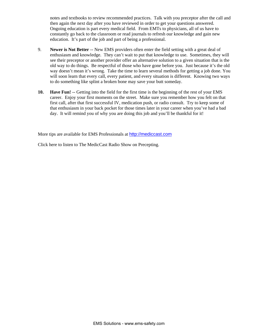notes and textbooks to review recommended practices. Talk with you preceptor after the call and then again the next day after you have reviewed in order to get your questions answered. Ongoing education is part every medical field. From EMTs to physicians, all of us have to constantly go back to the classroom or read journals to refresh our knowledge and gain new education. It's part of the job and part of being a professional.

- 9. **Newer is Not Better** -- New EMS providers often enter the field setting with a great deal of enthusiasm and knowledge. They can't wait to put that knowledge to use. Sometimes, they will see their preceptor or another provider offer an alternative solution to a given situation that is the old way to do things. Be respectful of those who have gone before you. Just because it's the old way doesn't mean it's wrong. Take the time to learn several methods for getting a job done. You will soon learn that every call, every patient, and every situation is different. Knowing two ways to do something like splint a broken bone may save your butt someday.
- **10. Have Fun!** -- Getting into the field for the first time is the beginning of the rest of your EMS career. Enjoy your first moments on the street. Make sure you remember how you felt on that first call, after that first successful IV, medication push, or radio consult. Try to keep some of that enthusiasm in your back pocket for those times later in your career when you've had a bad day. It will remind you of why you are doing this job and you'll be thankful for it!

More tips are available for EMS Professionals at <http://mediccast.com>

[Click here to listen to The MedicCast Radio Show on Precepting.](http://ems-safety.com/upcaudio.htm)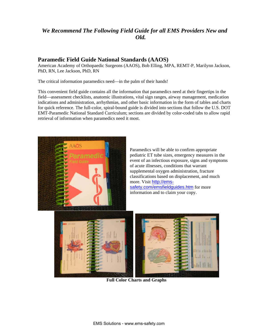## *We Recommend The Following Field Guide for all EMS Providers New and Old.*

## **Paramedic Field Guide National Standards (AAOS)**

American Academy of Orthopaedic Surgeons (AAOS), Bob Elling, MPA, REMT-P, Marilynn Jackson, PhD, RN, Lee Jackson, PhD, RN

The critical information paramedics need—in the palm of their hands!

This convenient field guide contains all the information that paramedics need at their fingertips in the field—assessment checklists, anatomic illustrations, vital sign ranges, airway management, medication indications and administration, arrhythmias, and other basic information in the form of tables and charts for quick reference. The full-color, spiral-bound guide is divided into sections that follow the U.S. DOT EMT-Paramedic National Standard Curriculum; sections are divided by color-coded tabs to allow rapid retrieval of information when paramedics need it most.



**Full Color Charts and Graphs**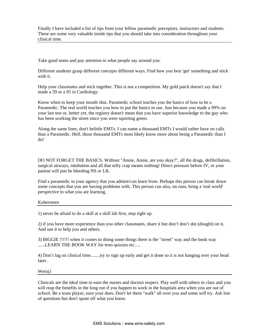Finally I have included a list of tips from your fellow paramedic preceptors, instructors and students. These are some very valuable inside tips that you should take into consideration throughout your clinical time.

Take good notes and pay attention to what people say around you.

Different students grasp different concepts different ways. Find how you best 'get' something and stick with it.

Help your classmates and stick together. This is not a competition. My gold patch doesn't say that I made a 59 or a 95 in Cardiology.

Know when to keep your mouth shut. Paramedic school teaches you the basics of how to be a Paramedic. The real world teaches you how to put the basics to use. Just because you made a 99% on your last test or, better yet, the registry doesn't mean that you have superior knowledge to the guy who has been working the street since you were squirting green.

Along the same lines, don't belittle EMTs. I can name a thousand EMTs I would rather have on calls than a Paramedic. Hell, those thousand EMTs most likely know more about being a Paramedic than I do!

DO NOT FORGET THE BASICS. Without "Annie, Annie, are you okay?", all the drugs, defibrillation, patient will just be bleeding NS or LR. surgical airways, intubation and all that nifty crap means nothing! Direct pressure before IV, or your

Find a paramedic in your agency that you admire/can learn from. Perhaps this person can break down some concepts that you are having problems with. This person can also, on runs, bring a 'real world' perspective to what you are learning.

### Kobersteen

1) never be afraid to do a skill at a skill lab first, step right up.

2) if you have more experience than you other classmates, share it but don't don't dot (dought) on it. And use it to help you and others.

3) BIGGIE !!!!!! when it comes to doing some things there is the "street" way and the book way ......LEARN THE BOOK WAY for tests quizzes etc.....

4) Don't lag on clinical time........try to sign up early and get it done so it is not hanging over your head later .

Weruj1

Clinicals are the ideal time to earn the nurses and doctors respect. Play well with others in class and y ou will reap the benefits in the long run if you happen to work in the hospitals area when you are out of school. Be a team player, earn your dues. Don't let them "walk" all over you and some will try. Ask lots of questions but don't spout off what you know.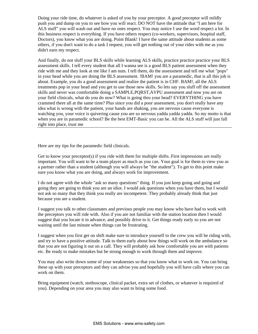Doing your ride time, do whatever is asked of you by your preceptor. A good preceptor will mildly push you and dump on you to see how you will react. DO NOT have the attitude that "I am here for ALS stuff" you will wash out and have no ones respect. You may notice I use the word respect a lot. In this business respect is everything. If you have others respect (co-workers, supervisors, hospital staff, Doctors), you know what you are doing. Point Blank! I have the same attitude about students as some others, if you don't want to do a task I request, you will get nothing out of your rides with me as you didn't earn my respect.

assessment skills. I tell every student that all I wanna see is a good BLS patient assessment when they ride with me and they look at me like I am nuts. I tell them, do the assessment and tell me what "pops" in your head while you are doing the BLS assessment. !BAM! you are a paramedic, that is all this job is about. Example, you do a good assessment and realize the patient is in CHF. BAM!, all the ALS crammed there all at the same time? Plus since you did a poor assessment, you don't really have any idea what is wrong with the patient, your hands are shaking, you are nervous cause everyone is watching you, your voice is quivering cause you are so nervous yadda yadda yadda. So my motto is that when you are in paramedic school? Be the best EMT-Basic you can be. All the ALS stuff will just fall And finally, do not sluff your BLS skills while learning ALS skills, practice practice practice your BLS treatments pop in your head and you get to use those new skills. So lets say you sluff off the assessment skills and never was comfortable doing a SAMPLE,PQRST,AVPU assessment and now you are on your field clinicals, what do you do now? What is going thru your head? EVERYTHING you have right into place, trust me

Here are my tips for the paramedic field clinicals.

Get to know your preceptor(s) if you ride with them for multiple shifts. First impressions are really important. You will want to be a team player as much as you can. Your goal is for them to view you as a partner rather than a student (although you will always be "the student"). To get to this point make sure you know what you are doing, and always work for improvement.

going they are going to think you are an idiot. I would ask questions when you have them, but I would I do not agree with the whole "ask so many questions" thing. If you just keep going and going and not ask so many that they think you really are incompetent. They probably already think that just because you are a student.

suggest that you locate it in advance, and possibly drive to it. Get things ready early so you are not waiting until the last minute when things can be frustrating. I suggest you talk to other classmates and previous people you may know who have had to work with the preceptors you will ride with. Also if you are not familiar with the station location then I would

I suggest when you first get on shift make sure to introduce yourself to the crew you will be riding with, and try to have a positive attitude. Talk to them early about how things will work on the ambulance so that you are not figuring it out on a call. They will probably ask how comfortable you are with patients etc. Be ready to make mistakes but be strong enough to work through them and improve.

these up with your preceptors and they can advise you and hopefully you will have calls where you can work on them. You may also write down some of your weaknesses so that you know what to work on. You can bring

Bring equipment (watch, stethoscope, clinical packet, extra set of clothes, or whatever is required of you). Depending on your area you may also want to bring some food.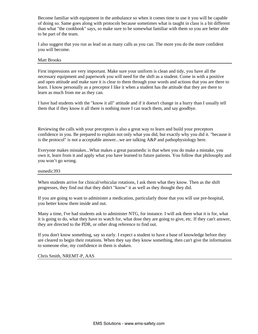Become familiar with equipment in the ambulance so when it comes time to use it you will be capable of doing so. Same goes along with protocols because sometimes what is taught in class is a bit differ ent than what "the cookbook" says, so make sure to be somewhat familiar with them so you are better a ble to be part of the team.

I also suggest that you run as lead on as many calls as you can. The more you do the more confident you will become.

#### Matt Brooks

First impressions are very important. Make sure your uniform is clean and tidy, you have all the necessary equipment and paperwork you will need for the shift as a student. Come in with a positive and open attitude and make sure it is clear to them through your words and actions that you are there to learn. I know personally as a preceptor I like it when a student has the attitude that they are there to learn as much from me as they can.

I have had students with the "know it all" attitude and if it doesn't change in a hurry than I usually tell them that if they know it all there is nothing more I can teach them, and say goodbye.

Reviewing the calls with your preceptors is also a great way to learn and build your preceptors confidence in you. Be prepared to explain not only what you did, but exactly why you did it. "because it is the protocol" is not a acceptable answer...we are talking  $A\&P$  and pathophysiology here.

Everyone makes mistakes...What makes a great paramedic is that when you do make a mistake, you own it, learn from it and apply what you have learned to future patients. You follow that philosophy and you won't go wrong.

#### nsmedic393

When students arrive for clinical/vehicular rotations, I ask them what they know. Then as the shift progresses, they find out that they didn't "know" it as well as they thought they did.

If you are going to want to administer a medication, particularly those that you will use pre-hospital, you better know them inside and out.

Many a time, I've had students ask to administer NTG, for instance. I will ask them what it is for, what it is going to do, what they have to watch for, what dose they are going to give, etc. If they can't answer, they are directed to the PDR, or other drug reference to find out.

If you don't know something, say so early. I expect a student to have a base of knowledge before they are cleared to begin their rotations. When they say they know something, then can't give the information to someone else, my confidence in them is shaken.

#### Chris Smith, NREMT-P, AAS